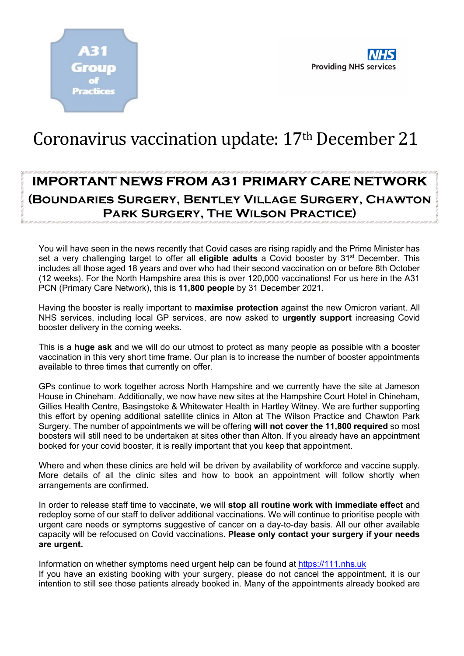

## Coronavirus vaccination update: 17<sup>th</sup> December 21

## IMPORTANT NEWS FROM A31 PRIMARY CARE NETWORK (Boundaries Surgery, Bentley Village Surgery, Chawton Park Surgery, The Wilson Practice)

You will have seen in the news recently that Covid cases are rising rapidly and the Prime Minister has set a very challenging target to offer all eligible adults a Covid booster by 31<sup>st</sup> December. This includes all those aged 18 years and over who had their second vaccination on or before 8th October (12 weeks). For the North Hampshire area this is over 120,000 vaccinations! For us here in the A31 PCN (Primary Care Network), this is 11,800 people by 31 December 2021.

Having the booster is really important to **maximise protection** against the new Omicron variant. All NHS services, including local GP services, are now asked to urgently support increasing Covid booster delivery in the coming weeks.

This is a **huge ask** and we will do our utmost to protect as many people as possible with a booster vaccination in this very short time frame. Our plan is to increase the number of booster appointments available to three times that currently on offer.

GPs continue to work together across North Hampshire and we currently have the site at Jameson House in Chineham. Additionally, we now have new sites at the Hampshire Court Hotel in Chineham, Gillies Health Centre, Basingstoke & Whitewater Health in Hartley Witney. We are further supporting this effort by opening additional satellite clinics in Alton at The Wilson Practice and Chawton Park Surgery. The number of appointments we will be offering will not cover the 11,800 required so most boosters will still need to be undertaken at sites other than Alton. If you already have an appointment booked for your covid booster, it is really important that you keep that appointment.

Where and when these clinics are held will be driven by availability of workforce and vaccine supply. More details of all the clinic sites and how to book an appointment will follow shortly when arrangements are confirmed.

In order to release staff time to vaccinate, we will stop all routine work with immediate effect and redeploy some of our staff to deliver additional vaccinations. We will continue to prioritise people with urgent care needs or symptoms suggestive of cancer on a day-to-day basis. All our other available capacity will be refocused on Covid vaccinations. Please only contact your surgery if your needs are urgent.

Information on whether symptoms need urgent help can be found at https://111.nhs.uk If you have an existing booking with your surgery, please do not cancel the appointment, it is our intention to still see those patients already booked in. Many of the appointments already booked are